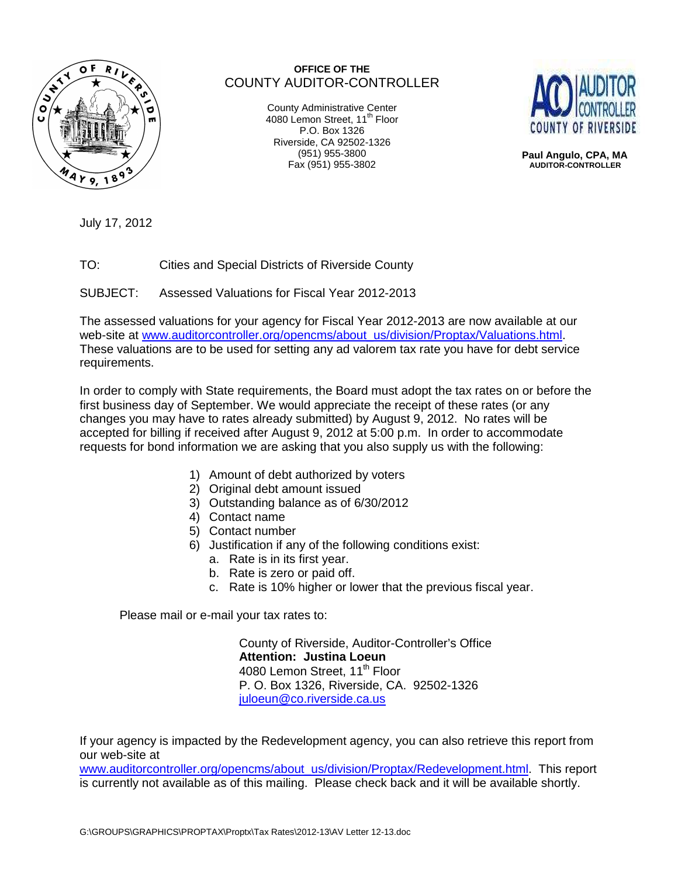

## **OFFICE OF THE** COUNTY AUDITOR-CONTROLLER

County Administrative Center 4080 Lemon Street, 11<sup>th</sup> Floor P.O. Box 1326 Riverside, CA 92502-1326 (951) 955-3800 Fax (951) 955-3802



 **Paul Angulo, CPA, MA AUDITOR-CONTROLLER** 

July 17, 2012

TO: Cities and Special Districts of Riverside County

SUBJECT: Assessed Valuations for Fiscal Year 2012-2013

The assessed valuations for your agency for Fiscal Year 2012-2013 are now available at our web-site at www.auditorcontroller.org/opencms/about\_us/division/Proptax/Valuations.html. These valuations are to be used for setting any ad valorem tax rate you have for debt service requirements.

In order to comply with State requirements, the Board must adopt the tax rates on or before the first business day of September. We would appreciate the receipt of these rates (or any changes you may have to rates already submitted) by August 9, 2012. No rates will be accepted for billing if received after August 9, 2012 at 5:00 p.m. In order to accommodate requests for bond information we are asking that you also supply us with the following:

- 1) Amount of debt authorized by voters
- 2) Original debt amount issued
- 3) Outstanding balance as of 6/30/2012
- 4) Contact name
- 5) Contact number
- 6) Justification if any of the following conditions exist:
	- a. Rate is in its first year.
	- b. Rate is zero or paid off.
	- c. Rate is 10% higher or lower that the previous fiscal year.

Please mail or e-mail your tax rates to:

 County of Riverside, Auditor-Controller's Office  **Attention: Justina Loeun**  4080 Lemon Street, 11<sup>th</sup> Floor P. O. Box 1326, Riverside, CA. 92502-1326 juloeun@co.riverside.ca.us

If your agency is impacted by the Redevelopment agency, you can also retrieve this report from our web-site at

www.auditorcontroller.org/opencms/about\_us/division/Proptax/Redevelopment.html. This report is currently not available as of this mailing. Please check back and it will be available shortly.